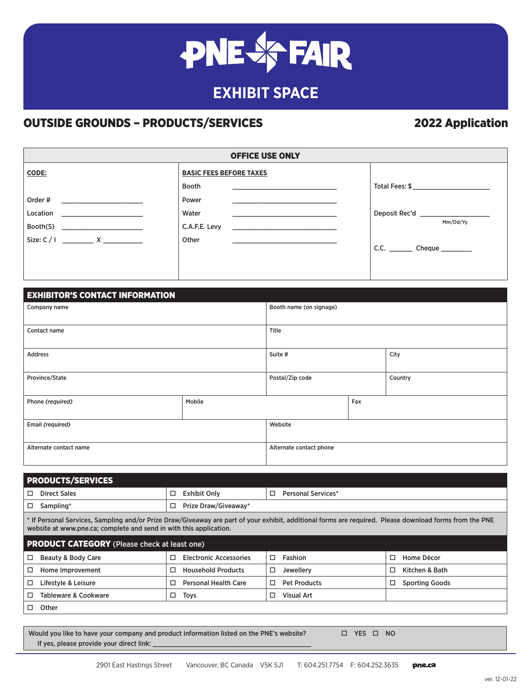# **PNE & FAIR**

## **EXHIBIT SPACE**

### OUTSIDE GROUNDS – PRODUCTS/SERVICES 2022 Application

| <b>OFFICE USE ONLY</b>                                                                                                                                                                                                         |                                                                       |             |  |  |
|--------------------------------------------------------------------------------------------------------------------------------------------------------------------------------------------------------------------------------|-----------------------------------------------------------------------|-------------|--|--|
| CODE:                                                                                                                                                                                                                          | <b>BASIC FEES BEFORE TAXES</b>                                        |             |  |  |
|                                                                                                                                                                                                                                | Booth<br><u> 1989 - John Stein, Amerikaansk politiker (</u>           |             |  |  |
| Order # 2009 and 2009 and 2009 and 2009 and 2009 and 2009 and 2009 and 2009 and 2009 and 2009 and 2009 and 20                                                                                                                  | Power                                                                 |             |  |  |
| Location                                                                                                                                                                                                                       | Water                                                                 |             |  |  |
| Booth(S) and the state of the state of the state of the state of the state of the state of the state of the state of the state of the state of the state of the state of the state of the state of the state of the state of t | C.A.F.E. Levy<br><u> 1980 - Jan Barnett, fransk politik (d. 1980)</u> | Mm/Dd/Yy    |  |  |
|                                                                                                                                                                                                                                | Other                                                                 |             |  |  |
|                                                                                                                                                                                                                                |                                                                       | C.C. Cheque |  |  |
|                                                                                                                                                                                                                                |                                                                       |             |  |  |

| <b>EXHIBITOR'S CONTACT INFORMATION</b> |        |                         |     |         |
|----------------------------------------|--------|-------------------------|-----|---------|
| Company name                           |        | Booth name (on signage) |     |         |
|                                        |        |                         |     |         |
| Contact name                           |        | Title                   |     |         |
|                                        |        |                         |     |         |
| <b>Address</b>                         |        | Suite #                 |     | City    |
|                                        |        |                         |     |         |
| Province/State                         |        | Postal/Zip code         |     | Country |
|                                        |        |                         |     |         |
| Phone (required)                       | Mobile |                         | Fax |         |
|                                        |        |                         |     |         |
| Email (required)                       |        | Website                 |     |         |
|                                        |        |                         |     |         |
| Alternate contact name                 |        | Alternate contact phone |     |         |
|                                        |        |                         |     |         |

| <b>PRODUCTS/SERVICES</b>                                                                                                                                                                                                      |                               |                           |                       |
|-------------------------------------------------------------------------------------------------------------------------------------------------------------------------------------------------------------------------------|-------------------------------|---------------------------|-----------------------|
| <b>Direct Sales</b>                                                                                                                                                                                                           | □                             | □                         |                       |
| □                                                                                                                                                                                                                             | <b>Exhibit Only</b>           | <b>Personal Services*</b> |                       |
| □                                                                                                                                                                                                                             | Prize Draw/Giveaway*          |                           |                       |
| Sampling*                                                                                                                                                                                                                     | □                             |                           |                       |
| * If Personal Services, Sampling and/or Prize Draw/Giveaway are part of your exhibit, additional forms are required. Please download forms from the PNE<br>website at www.pne.ca; complete and send in with this application. |                               |                           |                       |
| <b>PRODUCT CATEGORY</b> (Please check at least one)                                                                                                                                                                           |                               |                           |                       |
| Beauty & Body Care                                                                                                                                                                                                            | <b>Electronic Accessories</b> | □                         | Home Décor            |
| □                                                                                                                                                                                                                             | п                             | <b>Fashion</b>            | п                     |
| □                                                                                                                                                                                                                             | <b>Household Products</b>     | □                         | Kitchen & Bath        |
| Home Improvement                                                                                                                                                                                                              | ◻                             | Jewellery                 | □                     |
| Lifestyle & Leisure                                                                                                                                                                                                           | <b>Personal Health Care</b>   | <b>Pet Products</b>       | <b>Sporting Goods</b> |
| □                                                                                                                                                                                                                             | ◻                             | ◻                         | □                     |
| Tableware & Cookware                                                                                                                                                                                                          |                               | <b>Visual Art</b>         |                       |
| п                                                                                                                                                                                                                             | Toys                          | □                         |                       |
| Other<br>□                                                                                                                                                                                                                    |                               |                           |                       |
|                                                                                                                                                                                                                               |                               |                           |                       |

If yes, please provide your direct link:

Would you like to have your company and product information listed on the PNE's website?  $\square$  YES  $\square$  NO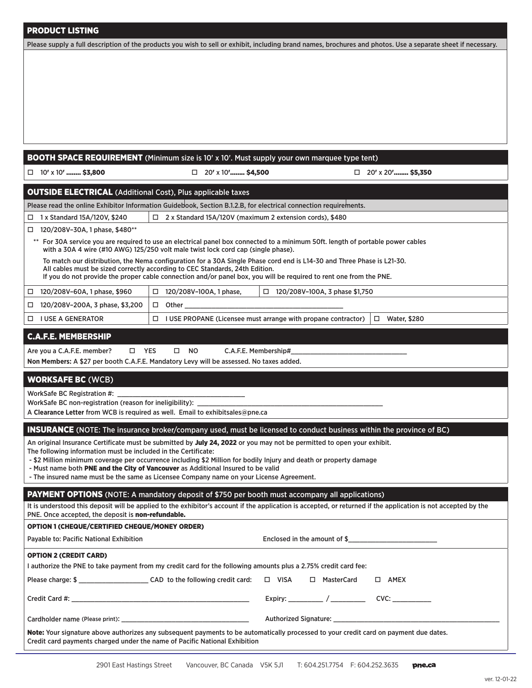| <b>PRODUCT LISTING</b>                                                                                                                                                               |                                                                                   |                                                                                                                                                                |
|--------------------------------------------------------------------------------------------------------------------------------------------------------------------------------------|-----------------------------------------------------------------------------------|----------------------------------------------------------------------------------------------------------------------------------------------------------------|
| Please supply a full description of the products you wish to sell or exhibit, including brand names, brochures and photos. Use a separate sheet if necessary.                        |                                                                                   |                                                                                                                                                                |
|                                                                                                                                                                                      |                                                                                   |                                                                                                                                                                |
|                                                                                                                                                                                      |                                                                                   |                                                                                                                                                                |
|                                                                                                                                                                                      |                                                                                   |                                                                                                                                                                |
|                                                                                                                                                                                      |                                                                                   |                                                                                                                                                                |
|                                                                                                                                                                                      |                                                                                   |                                                                                                                                                                |
|                                                                                                                                                                                      |                                                                                   |                                                                                                                                                                |
|                                                                                                                                                                                      |                                                                                   |                                                                                                                                                                |
| <b>BOOTH SPACE REQUIREMENT</b> (Minimum size is 10' x 10'. Must supply your own marquee type tent)                                                                                   |                                                                                   |                                                                                                                                                                |
| $\Box$ 10' x 10'  \$3,800                                                                                                                                                            | $\Box$ 20' x 10' \$4,500                                                          | $\Box$ 20' x 20' \$5,350                                                                                                                                       |
| <b>OUTSIDE ELECTRICAL (Additional Cost), Plus applicable taxes</b>                                                                                                                   |                                                                                   |                                                                                                                                                                |
| Please read the online Exhibitor Information Guidebook, Section B.1.2.B, for electrical connection requirements.                                                                     |                                                                                   |                                                                                                                                                                |
| 1 x Standard 15A/120V, \$240                                                                                                                                                         | 2 x Standard 15A/120V (maximum 2 extension cords), \$480                          |                                                                                                                                                                |
| □ 120/208V-30A, 1 phase, \$480**                                                                                                                                                     |                                                                                   |                                                                                                                                                                |
|                                                                                                                                                                                      | with a 30A 4 wire (#10 AWG) 125/250 volt male twist lock cord cap (single phase). | ** For 30A service you are required to use an electrical panel box connected to a minimum 50ft. length of portable power cables                                |
|                                                                                                                                                                                      |                                                                                   | To match our distribution, the Nema configuration for a 30A Single Phase cord end is L14-30 and Three Phase is L21-30.                                         |
|                                                                                                                                                                                      | All cables must be sized correctly according to CEC Standards, 24th Edition.      | If you do not provide the proper cable connection and/or panel box, you will be required to rent one from the PNE.                                             |
| $\Box$ 120/208V-60A, 1 phase, \$960                                                                                                                                                  | 120/208V-100A, 1 phase,<br>□                                                      | $\Box$ 120/208V-100A, 3 phase \$1,750                                                                                                                          |
| 120/208V-200A, 3 phase, \$3,200<br>□                                                                                                                                                 | $\Box$<br>Other $\_\_$                                                            |                                                                                                                                                                |
| <b>I USE A GENERATOR</b><br>□                                                                                                                                                        | □                                                                                 | I USE PROPANE (Licensee must arrange with propane contractor)<br><b>Water, \$280</b><br>$\Box$                                                                 |
| <b>C.A.F.E. MEMBERSHIP</b>                                                                                                                                                           |                                                                                   |                                                                                                                                                                |
| Are you a C.A.F.E. member?<br>$\square$ YES                                                                                                                                          | □<br><b>NO</b><br>C.A.F.E. Membership#                                            |                                                                                                                                                                |
| Non Members: A \$27 per booth C.A.F.E. Mandatory Levy will be assessed. No taxes added.                                                                                              |                                                                                   |                                                                                                                                                                |
| <b>WORKSAFE BC (WCB)</b>                                                                                                                                                             |                                                                                   |                                                                                                                                                                |
| WorkSafe BC Registration #:                                                                                                                                                          |                                                                                   |                                                                                                                                                                |
| WorkSafe BC non-registration (reason for ineligibility):                                                                                                                             |                                                                                   |                                                                                                                                                                |
| A Clearance Letter from WCB is required as well. Email to exhibitsales@pne.ca                                                                                                        |                                                                                   |                                                                                                                                                                |
|                                                                                                                                                                                      |                                                                                   | <b>INSURANCE</b> (NOTE: The insurance broker/company used, must be licensed to conduct business within the province of BC)                                     |
|                                                                                                                                                                                      |                                                                                   | An original Insurance Certificate must be submitted by <b>July 24, 2022</b> or you may not be permitted to open your exhibit.                                  |
| The following information must be included in the Certificate:<br>- \$2 Million minimum coverage per occurrence including \$2 Million for bodily Injury and death or property damage |                                                                                   |                                                                                                                                                                |
| - Must name both PNE and the City of Vancouver as Additional Insured to be valid<br>- The insured name must be the same as Licensee Company name on your License Agreement.          |                                                                                   |                                                                                                                                                                |
|                                                                                                                                                                                      |                                                                                   |                                                                                                                                                                |
|                                                                                                                                                                                      |                                                                                   | <b>PAYMENT OPTIONS</b> (NOTE: A mandatory deposit of \$750 per booth must accompany all applications)                                                          |
| PNE. Once accepted, the deposit is <b>non-refundable.</b>                                                                                                                            |                                                                                   | It is understood this deposit will be applied to the exhibitor's account if the application is accepted, or returned if the application is not accepted by the |
| <b>OPTION 1 (CHEQUE/CERTIFIED CHEQUE/MONEY ORDER)</b>                                                                                                                                |                                                                                   |                                                                                                                                                                |
| Payable to: Pacific National Exhibition                                                                                                                                              |                                                                                   |                                                                                                                                                                |
| <b>OPTION 2 (CREDIT CARD)</b>                                                                                                                                                        |                                                                                   |                                                                                                                                                                |
| I authorize the PNE to take payment from my credit card for the following amounts plus a 2.75% credit card fee:                                                                      |                                                                                   |                                                                                                                                                                |
|                                                                                                                                                                                      |                                                                                   | □ MasterCard<br>$\square$ AMEX                                                                                                                                 |
|                                                                                                                                                                                      |                                                                                   |                                                                                                                                                                |
|                                                                                                                                                                                      |                                                                                   |                                                                                                                                                                |
| Credit card payments charged under the name of Pacific National Exhibition                                                                                                           |                                                                                   | <b>Note:</b> Your signature above authorizes any subsequent payments to be automatically processed to your credit card on payment due dates.                   |